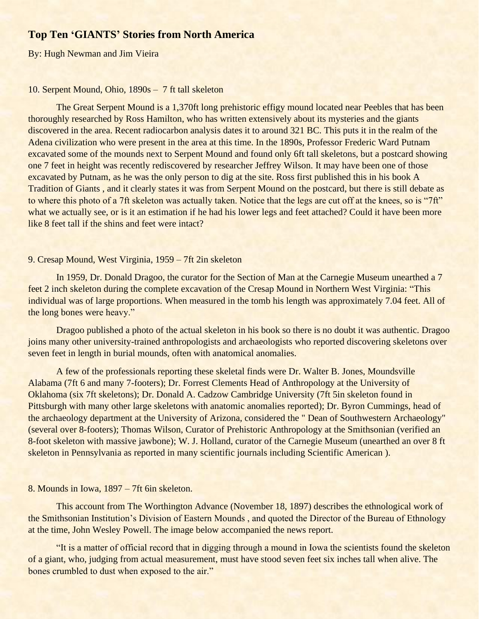# **Top Ten 'GIANTS' Stories from North America**

By: Hugh Newman and Jim Vieira

### 10. Serpent Mound, Ohio, 1890s – 7 ft tall skeleton

The Great Serpent Mound is a 1,370ft long prehistoric effigy mound located near Peebles that has been thoroughly researched by Ross Hamilton, who has written extensively about its mysteries and the giants discovered in the area. Recent radiocarbon analysis dates it to around 321 BC. This puts it in the realm of the Adena civilization who were present in the area at this time. In the 1890s, Professor Frederic Ward Putnam excavated some of the mounds next to Serpent Mound and found only 6ft tall skeletons, but a postcard showing one 7 feet in height was recently rediscovered by researcher Jeffrey Wilson. It may have been one of those excavated by Putnam, as he was the only person to dig at the site. Ross first published this in his book A Tradition of Giants , and it clearly states it was from Serpent Mound on the postcard, but there is still debate as to where this photo of a 7ft skeleton was actually taken. Notice that the legs are cut off at the knees, so is "7ft" what we actually see, or is it an estimation if he had his lower legs and feet attached? Could it have been more like 8 feet tall if the shins and feet were intact?

#### 9. Cresap Mound, West Virginia, 1959 – 7ft 2in skeleton

In 1959, Dr. Donald Dragoo, the curator for the Section of Man at the Carnegie Museum unearthed a 7 feet 2 inch skeleton during the complete excavation of the Cresap Mound in Northern West Virginia: "This individual was of large proportions. When measured in the tomb his length was approximately 7.04 feet. All of the long bones were heavy."

Dragoo published a photo of the actual skeleton in his book so there is no doubt it was authentic. Dragoo joins many other university-trained anthropologists and archaeologists who reported discovering skeletons over seven feet in length in burial mounds, often with anatomical anomalies.

A few of the professionals reporting these skeletal finds were Dr. Walter B. Jones, Moundsville Alabama (7ft 6 and many 7-footers); Dr. Forrest Clements Head of Anthropology at the University of Oklahoma (six 7ft skeletons); Dr. Donald A. Cadzow Cambridge University (7ft 5in skeleton found in Pittsburgh with many other large skeletons with anatomic anomalies reported); Dr. Byron Cummings, head of the archaeology department at the University of Arizona, considered the " Dean of Southwestern Archaeology" (several over 8-footers); Thomas Wilson, Curator of Prehistoric Anthropology at the Smithsonian (verified an 8-foot skeleton with massive jawbone); W. J. Holland, curator of the Carnegie Museum (unearthed an over 8 ft skeleton in Pennsylvania as reported in many scientific journals including Scientific American ).

#### 8. Mounds in Iowa, 1897 – 7ft 6in skeleton.

This account from The Worthington Advance (November 18, 1897) describes the ethnological work of the Smithsonian Institution's Division of Eastern Mounds , and quoted the Director of the Bureau of Ethnology at the time, John Wesley Powell. The image below accompanied the news report.

"It is a matter of official record that in digging through a mound in Iowa the scientists found the skeleton of a giant, who, judging from actual measurement, must have stood seven feet six inches tall when alive. The bones crumbled to dust when exposed to the air."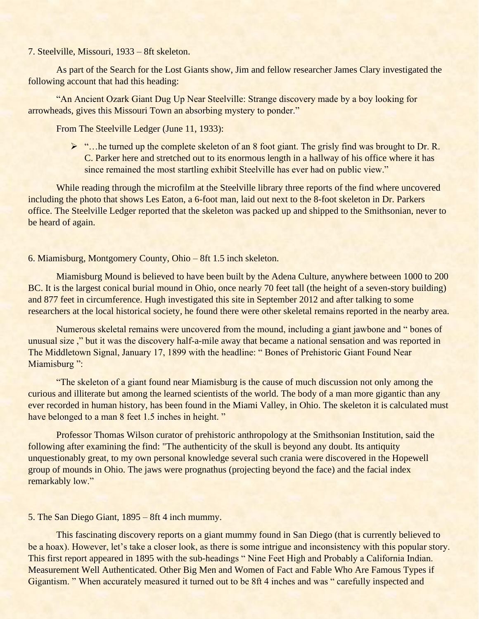7. Steelville, Missouri, 1933 – 8ft skeleton.

As part of the Search for the Lost Giants show, Jim and fellow researcher James Clary investigated the following account that had this heading:

"An Ancient Ozark Giant Dug Up Near Steelville: Strange discovery made by a boy looking for arrowheads, gives this Missouri Town an absorbing mystery to ponder."

From The Steelville Ledger (June 11, 1933):

 $\triangleright$  "... he turned up the complete skeleton of an 8 foot giant. The grisly find was brought to Dr. R. C. Parker here and stretched out to its enormous length in a hallway of his office where it has since remained the most startling exhibit Steelville has ever had on public view."

While reading through the microfilm at the Steelville library three reports of the find where uncovered including the photo that shows Les Eaton, a 6-foot man, laid out next to the 8-foot skeleton in Dr. Parkers office. The Steelville Ledger reported that the skeleton was packed up and shipped to the Smithsonian, never to be heard of again.

### 6. Miamisburg, Montgomery County, Ohio – 8ft 1.5 inch skeleton.

Miamisburg Mound is believed to have been built by the Adena Culture, anywhere between 1000 to 200 BC. It is the largest conical burial mound in Ohio, once nearly 70 feet tall (the height of a seven-story building) and 877 feet in circumference. Hugh investigated this site in September 2012 and after talking to some researchers at the local historical society, he found there were other skeletal remains reported in the nearby area.

Numerous skeletal remains were uncovered from the mound, including a giant jawbone and " bones of unusual size ," but it was the discovery half-a-mile away that became a national sensation and was reported in The Middletown Signal, January 17, 1899 with the headline: " Bones of Prehistoric Giant Found Near Miamisburg ":

"The skeleton of a giant found near Miamisburg is the cause of much discussion not only among the curious and illiterate but among the learned scientists of the world. The body of a man more gigantic than any ever recorded in human history, has been found in the Miami Valley, in Ohio. The skeleton it is calculated must have belonged to a man 8 feet 1.5 inches in height."

Professor Thomas Wilson curator of prehistoric anthropology at the Smithsonian Institution, said the following after examining the find: "The authenticity of the skull is beyond any doubt. Its antiquity unquestionably great, to my own personal knowledge several such crania were discovered in the Hopewell group of mounds in Ohio. The jaws were prognathus (projecting beyond the face) and the facial index remarkably low."

### 5. The San Diego Giant, 1895 – 8ft 4 inch mummy.

This fascinating discovery reports on a giant mummy found in San Diego (that is currently believed to be a hoax). However, let's take a closer look, as there is some intrigue and inconsistency with this popular story. This first report appeared in 1895 with the sub-headings " Nine Feet High and Probably a California Indian. Measurement Well Authenticated. Other Big Men and Women of Fact and Fable Who Are Famous Types if Gigantism. " When accurately measured it turned out to be 8ft 4 inches and was " carefully inspected and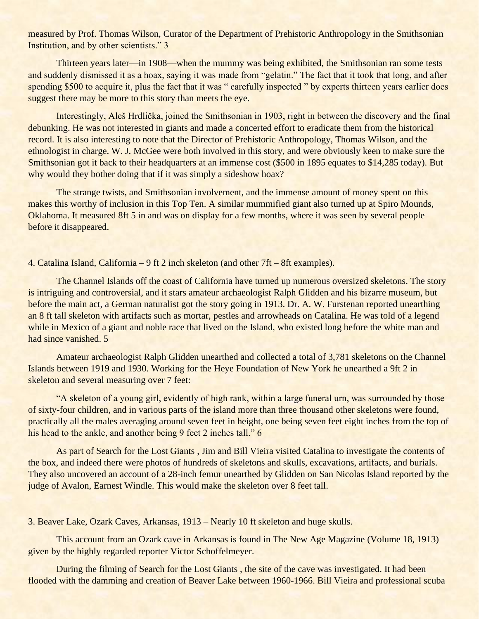measured by Prof. Thomas Wilson, Curator of the Department of Prehistoric Anthropology in the Smithsonian Institution, and by other scientists." 3

Thirteen years later—in 1908—when the mummy was being exhibited, the Smithsonian ran some tests and suddenly dismissed it as a hoax, saying it was made from "gelatin." The fact that it took that long, and after spending \$500 to acquire it, plus the fact that it was " carefully inspected " by experts thirteen years earlier does suggest there may be more to this story than meets the eye.

Interestingly, Aleš Hrdlička, joined the Smithsonian in 1903, right in between the discovery and the final debunking. He was not interested in giants and made a concerted effort to eradicate them from the historical record. It is also interesting to note that the Director of Prehistoric Anthropology, Thomas Wilson, and the ethnologist in charge. W. J. McGee were both involved in this story, and were obviously keen to make sure the Smithsonian got it back to their headquarters at an immense cost (\$500 in 1895 equates to \$14,285 today). But why would they bother doing that if it was simply a sideshow hoax?

The strange twists, and Smithsonian involvement, and the immense amount of money spent on this makes this worthy of inclusion in this Top Ten. A similar mummified giant also turned up at Spiro Mounds, Oklahoma. It measured 8ft 5 in and was on display for a few months, where it was seen by several people before it disappeared.

## 4. Catalina Island, California – 9 ft 2 inch skeleton (and other 7ft – 8ft examples).

The Channel Islands off the coast of California have turned up numerous oversized skeletons. The story is intriguing and controversial, and it stars amateur archaeologist Ralph Glidden and his bizarre museum, but before the main act, a German naturalist got the story going in 1913. Dr. A. W. Furstenan reported unearthing an 8 ft tall skeleton with artifacts such as mortar, pestles and arrowheads on Catalina. He was told of a legend while in Mexico of a giant and noble race that lived on the Island, who existed long before the white man and had since vanished. 5

Amateur archaeologist Ralph Glidden unearthed and collected a total of 3,781 skeletons on the Channel Islands between 1919 and 1930. Working for the Heye Foundation of New York he unearthed a 9ft 2 in skeleton and several measuring over 7 feet:

"A skeleton of a young girl, evidently of high rank, within a large funeral urn, was surrounded by those of sixty-four children, and in various parts of the island more than three thousand other skeletons were found, practically all the males averaging around seven feet in height, one being seven feet eight inches from the top of his head to the ankle, and another being 9 feet 2 inches tall." 6

As part of Search for the Lost Giants , Jim and Bill Vieira visited Catalina to investigate the contents of the box, and indeed there were photos of hundreds of skeletons and skulls, excavations, artifacts, and burials. They also uncovered an account of a 28-inch femur unearthed by Glidden on San Nicolas Island reported by the judge of Avalon, Earnest Windle. This would make the skeleton over 8 feet tall.

3. Beaver Lake, Ozark Caves, Arkansas, 1913 – Nearly 10 ft skeleton and huge skulls.

This account from an Ozark cave in Arkansas is found in The New Age Magazine (Volume 18, 1913) given by the highly regarded reporter Victor Schoffelmeyer.

During the filming of Search for the Lost Giants , the site of the cave was investigated. It had been flooded with the damming and creation of Beaver Lake between 1960-1966. Bill Vieira and professional scuba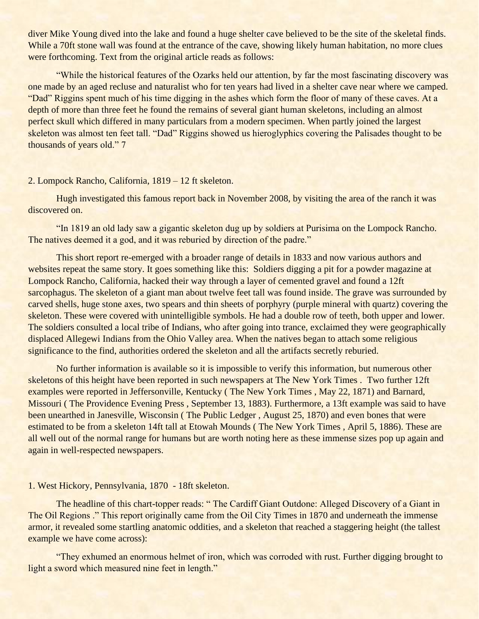diver Mike Young dived into the lake and found a huge shelter cave believed to be the site of the skeletal finds. While a 70ft stone wall was found at the entrance of the cave, showing likely human habitation, no more clues were forthcoming. Text from the original article reads as follows:

"While the historical features of the Ozarks held our attention, by far the most fascinating discovery was one made by an aged recluse and naturalist who for ten years had lived in a shelter cave near where we camped. "Dad" Riggins spent much of his time digging in the ashes which form the floor of many of these caves. At a depth of more than three feet he found the remains of several giant human skeletons, including an almost perfect skull which differed in many particulars from a modern specimen. When partly joined the largest skeleton was almost ten feet tall. "Dad" Riggins showed us hieroglyphics covering the Palisades thought to be thousands of years old." 7

## 2. Lompock Rancho, California, 1819 – 12 ft skeleton.

Hugh investigated this famous report back in November 2008, by visiting the area of the ranch it was discovered on.

"In 1819 an old lady saw a gigantic skeleton dug up by soldiers at Purisima on the Lompock Rancho. The natives deemed it a god, and it was reburied by direction of the padre."

This short report re-emerged with a broader range of details in 1833 and now various authors and websites repeat the same story. It goes something like this: Soldiers digging a pit for a powder magazine at Lompock Rancho, California, hacked their way through a layer of cemented gravel and found a 12ft sarcophagus. The skeleton of a giant man about twelve feet tall was found inside. The grave was surrounded by carved shells, huge stone axes, two spears and thin sheets of porphyry (purple mineral with quartz) covering the skeleton. These were covered with unintelligible symbols. He had a double row of teeth, both upper and lower. The soldiers consulted a local tribe of Indians, who after going into trance, exclaimed they were geographically displaced Allegewi Indians from the Ohio Valley area. When the natives began to attach some religious significance to the find, authorities ordered the skeleton and all the artifacts secretly reburied.

No further information is available so it is impossible to verify this information, but numerous other skeletons of this height have been reported in such newspapers at The New York Times . Two further 12ft examples were reported in Jeffersonville, Kentucky ( The New York Times , May 22, 1871) and Barnard, Missouri ( The Providence Evening Press , September 13, 1883). Furthermore, a 13ft example was said to have been unearthed in Janesville, Wisconsin ( The Public Ledger , August 25, 1870) and even bones that were estimated to be from a skeleton 14ft tall at Etowah Mounds ( The New York Times , April 5, 1886). These are all well out of the normal range for humans but are worth noting here as these immense sizes pop up again and again in well-respected newspapers.

### 1. West Hickory, Pennsylvania, 1870 - 18ft skeleton.

The headline of this chart-topper reads: " The Cardiff Giant Outdone: Alleged Discovery of a Giant in The Oil Regions ." This report originally came from the Oil City Times in 1870 and underneath the immense armor, it revealed some startling anatomic oddities, and a skeleton that reached a staggering height (the tallest example we have come across):

"They exhumed an enormous helmet of iron, which was corroded with rust. Further digging brought to light a sword which measured nine feet in length."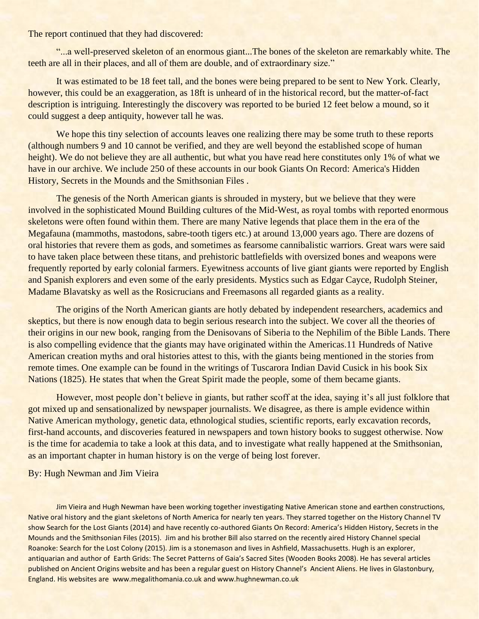The report continued that they had discovered:

"...a well-preserved skeleton of an enormous giant...The bones of the skeleton are remarkably white. The teeth are all in their places, and all of them are double, and of extraordinary size."

It was estimated to be 18 feet tall, and the bones were being prepared to be sent to New York. Clearly, however, this could be an exaggeration, as 18ft is unheard of in the historical record, but the matter-of-fact description is intriguing. Interestingly the discovery was reported to be buried 12 feet below a mound, so it could suggest a deep antiquity, however tall he was.

We hope this tiny selection of accounts leaves one realizing there may be some truth to these reports (although numbers 9 and 10 cannot be verified, and they are well beyond the established scope of human height). We do not believe they are all authentic, but what you have read here constitutes only 1% of what we have in our archive. We include 250 of these accounts in our book Giants On Record: America's Hidden History, Secrets in the Mounds and the Smithsonian Files .

The genesis of the North American giants is shrouded in mystery, but we believe that they were involved in the sophisticated Mound Building cultures of the Mid-West, as royal tombs with reported enormous skeletons were often found within them. There are many Native legends that place them in the era of the Megafauna (mammoths, mastodons, sabre-tooth tigers etc.) at around 13,000 years ago. There are dozens of oral histories that revere them as gods, and sometimes as fearsome cannibalistic warriors. Great wars were said to have taken place between these titans, and prehistoric battlefields with oversized bones and weapons were frequently reported by early colonial farmers. Eyewitness accounts of live giant giants were reported by English and Spanish explorers and even some of the early presidents. Mystics such as Edgar Cayce, Rudolph Steiner, Madame Blavatsky as well as the Rosicrucians and Freemasons all regarded giants as a reality.

The origins of the North American giants are hotly debated by independent researchers, academics and skeptics, but there is now enough data to begin serious research into the subject. We cover all the theories of their origins in our new book, ranging from the Denisovans of Siberia to the Nephilim of the Bible Lands. There is also compelling evidence that the giants may have originated within the Americas.11 Hundreds of Native American creation myths and oral histories attest to this, with the giants being mentioned in the stories from remote times. One example can be found in the writings of Tuscarora Indian David Cusick in his book Six Nations (1825). He states that when the Great Spirit made the people, some of them became giants.

However, most people don't believe in giants, but rather scoff at the idea, saying it's all just folklore that got mixed up and sensationalized by newspaper journalists. We disagree, as there is ample evidence within Native American mythology, genetic data, ethnological studies, scientific reports, early excavation records, first-hand accounts, and discoveries featured in newspapers and town history books to suggest otherwise. Now is the time for academia to take a look at this data, and to investigate what really happened at the Smithsonian, as an important chapter in human history is on the verge of being lost forever.

By: Hugh Newman and Jim Vieira

Jim Vieira and Hugh Newman have been working together investigating Native American stone and earthen constructions, Native oral history and the giant skeletons of North America for nearly ten years. They starred together on the History Channel TV show Search for the Lost Giants (2014) and have recently co-authored Giants On Record: America's Hidden History, Secrets in the Mounds and the Smithsonian Files (2015). Jim and his brother Bill also starred on the recently aired History Channel special Roanoke: Search for the Lost Colony (2015). Jim is a stonemason and lives in Ashfield, Massachusetts. Hugh is an explorer, antiquarian and author of Earth Grids: The Secret Patterns of Gaia's Sacred Sites (Wooden Books 2008). He has several articles published on Ancient Origins website and has been a regular guest on History Channel's Ancient Aliens. He lives in Glastonbury, England. His websites are www.megalithomania.co.uk and www.hughnewman.co.uk